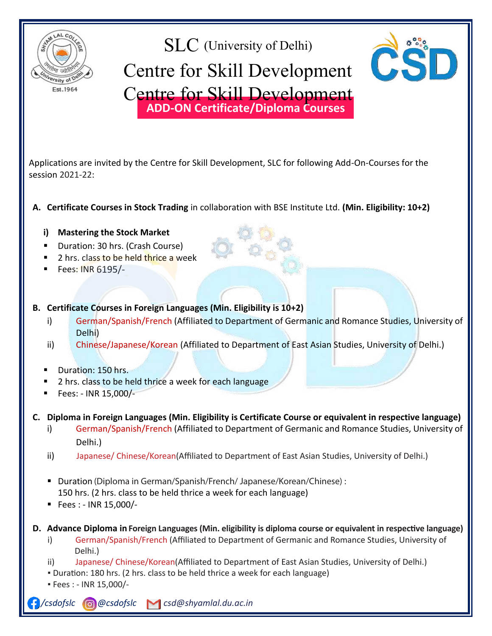

### SLC (University of Delhi) Centre for Skill Development **ADD-ON Certificate/Diploma Courses**  $\frac{1}{2}$  of  $\frac{1}{2}$   $\frac{1}{2}$   $\frac{1}{2}$   $\frac{1}{2}$   $\frac{1}{2}$   $\frac{1}{2}$   $\frac{1}{2}$   $\frac{1}{2}$   $\frac{1}{2}$   $\frac{1}{2}$   $\frac{1}{2}$   $\frac{1}{2}$   $\frac{1}{2}$   $\frac{1}{2}$   $\frac{1}{2}$   $\frac{1}{2}$   $\frac{1}{2}$   $\frac{1}{2}$   $\frac{1}{2}$   $\frac{1}{2}$   $\frac{1}{2}$ e for **ADD-ON Certificate/Diploma Courses** e for Skill Develop: Centre for Skill Development



 $\frac{1}{2}$  session 2021-22:  $\frac{1}{2}$ Applications are invited by the Centre for Skill Development, SLC for following Add-On-Courses for the

#### Contificate Courses in Chael: Tradin **A. Certificate Courses in Stock Trading** in collaboration with BSE Institute Ltd. **(Min. Eligibility: 10+2) A. Certificate Courses in Stock Trading** in collaboration with BSE Institute Ltd. **(Min. Eligibility: 10+2)**

## Fees: INR 5,500/- **i) Mastering the Stock Market**  i) Mastering the Stock Market **Course**

- **i**<br> **buration: 30 hrs. (Crash Course)**
- **Execution: 50 hrs. (Crash Course)**<br> **Ferrior 2 hrs. class to be held thrice a week**
- **ii**) Fees: INR 6195/-
- **B.** Certificate Courses in Foreign Languages (Min. Eligibility is 10+2) Certificate Courses in
- i) German/Spanish/French (Affiliated to Department of Germanic and Romance Studies, University of n, Comman, Span.<br>
Delhi) **B. Certificate Courses in Foreign Languages (Min. Eligibility is 10+2)**

i) German/Spanish/French (Affiliated to Department of Germanic and Romance Studies, University of

- ii) Chinese/Japanese/Korean (Affiliated to Department of <mark>East</mark> Asian Studies, University of Delhi.) **B. Certificate Courses in Foreign Languages (Min. Eligibility is 10+2)** 
	- **iii)** Chinese Mathemation: 150 hrs. The Chinese Mathematic of East Asian Studies, University of Delhi. (Affiliated to Delhi.) i) Germany Spanish-French (Affiliated to Department of Germanic and Romanic and Romanic and Romance Studies, U
	- induction and the chinese chinese control of the Department of East Asian Studies, and the Department of Department of Department of East Asian Studies, University of Department of Delhi and Delhi and Delhi. (Delhi) and De
	- Fees: INR 15,000/- $\blacksquare$  Fees: - INR 15,000/
- C. Diploma in Foreign Languages (Min. Eligibility is Certificate Course or equivalent in respective language) 2 hrs. class to be held thrice a week for each language
- i) German/Spanish/French (Affiliated to Department of Germanic and Romance Studies, University of and the Delhi.)  $\Delta$  **Delhi.) is a contracted contracted contracted Course of the course of the course of the course of the course of the course of the course of the course of the course of the course of the course of the course of the**
- ii) Japanese/ Chinese/Korean(Affiliated to Department of East Asian Studies, University of Delhi.) ii) Japanese/ Chinese/Korean(Affiliated to Department of East Asian Studies, University of Delhi.)
	- Duration (Diploma in German/Spanish/French/ Japanese/Korean/Chinese) : 150 hrs. (2 hrs. class to be held thrice a week for each language) ■ Fees : - INR 15,000/-■ Duration (Diploma in German/Spanish/French/ Japanese/Korean/Chinese) :<br>150 km /3 km slees to be held thries, s week for seek leasures)
	- $\blacksquare$  Pees : INR 15,000/-
- D. Advance Diploma in Foreign Languages (Min. eligibility is diploma course or equivalent in respective language)  $150$  hrs. (2 hrs. class to be held thrice a week for each language)  $\alpha$ 
	- i) German/Spanish/French (Affiliated to Department of Germanic and Romance Studies, University of  $\mathsf{Delhi.})$ and Delhi.)
- ii) Japanese/Chinese/Korean(Affiliated to Department of East Asian Studies, University of Delhi.) **D. Advance Diploma in French (Min. Eligibility is Diploma Course or equivalent in French)** Affiliation of Department of Germanic and Romance Studies, University of Germanic Studies, University of Delhi<br>According to 200 km (2 km scleen to be held theirs a week for each league of)
- Duration: 180 hrs. (2 hrs. class to be held thrice a week for each language)<br>• Fees : JNB 15,000 /
	- $\blacksquare$  Fees : INR 15,000/-

**F**/csdofslc **@**@csdofslc **| C**sd@shyamlal.du.ac.in Esaojsic **Websaugsic**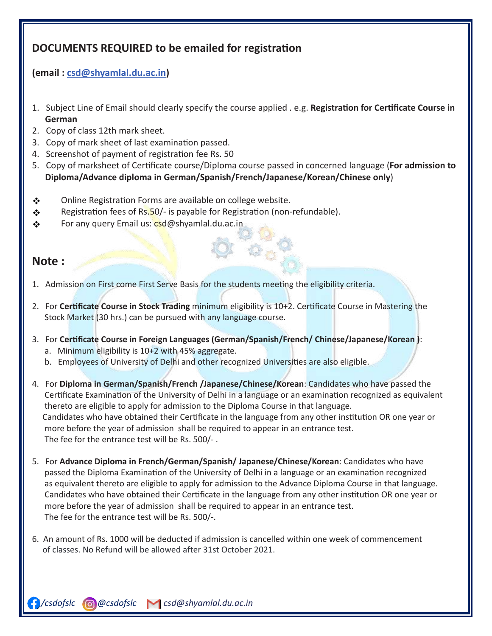# **DOCUMENTS REQUIRED to be emailed for registra�on**

## **(email : csd@shyamlal.du.ac.in)**

- 1. Subject Line of Email should clearly specify the course applied . e.g. **Registration for Certificate Course in**<br>Courses  **German**
- 2. Copy of class 12th mark sheet.
- 2. Copy of mark sheet of last examination passed. 3. Copy of mark sheet of last examina�on passed.
- 4. Screenshot of payment of registration fee Rs. 50
- 5. Copy of marksheet of Certificate course/Diploma course passed in concerned language (For admission to **Diploma/Advance diploma in German/Spanish/French/Japanese/Korean/Chinese only**)

**\_\_\_\_\_\_\_\_\_\_\_\_\_\_\_\_\_\_\_\_\_\_\_\_\_\_\_\_\_\_\_\_\_\_\_\_\_\_\_\_\_\_\_\_\_\_\_\_\_\_\_\_\_\_\_\_\_\_\_\_\_\_\_\_\_\_\_\_\_\_\_\_\_\_\_\_\_\_\_\_\_\_\_\_\_\_\_**

- **Online Registration Forms are available on college website.** Online Registra�on Forms are available on college website.
- **Registration fees of Rs.50/- is payable for Registration (non-refundable).**  Registra�on fees of Rs.50/- is payable for Registra�on (non-refundable).
- ❖ For any query Email us: <mark>csd</mark>@shyamlal.du.ac.in

## **Note :**

- 1. Admission on First come First Serve Basis for the students meeting the eligibility criteria.
- 2. For **Cer�ficate Course in Stock Trading** minimum eligibility is 10+2. Cer�ficate Course in Mastering the Stock Market (30 hrs.) can be pursued with any language course.
- 3. For **Cer�ficate Course in Foreign Languages (German/Spanish/French/ Chinese/Japanese/Korean )**: a. Minimum eligibility is 10+2 with 45% aggregate.
	- b. Employees of University of Delhi and other recognized Universities are also eligible.
- 4. For **Diploma in German/Spanish/French /Japanese/Chinese/Korean**: Candidates who have passed the Certificate Examination of the University of Delhi in a language or an examination recognized as equivalent thereto are eligible to apply for admission to the Diploma Course in that language. Candidates who have obtained their Certificate in the language from any other institution OR one year or more before the year of admission shall be required to appear in an entrance test. The fee for the entrance test will be Rs. 500/- .
- 5. For **Advance Diploma in French/German/Spanish/ Japanese/Chinese/Korean**: Candidates who have passed the Diploma Examination of the University of Delhi in a language or an examination recognized as equivalent thereto are eligible to apply for admission to the Advance Diploma Course in that language. Candidates who have obtained their Certificate in the language from any other institution OR one year or more before the year of admission shall be required to appear in an entrance test. The fee for the entrance test will be Rs. 500/-.
- 6. An amount of Rs. 1000 will be deducted if admission is cancelled within one week of commencement of classes. No Refund will be allowed after 31st October 2021.

 */csdofslc @csdofslc csdofslc@gmail.com csd@shyamlal.du.ac.in*